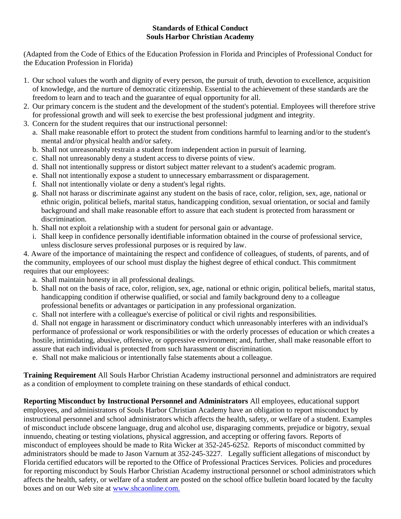## **Standards of Ethical Conduct Souls Harbor Christian Academy**

(Adapted from the Code of Ethics of the Education Profession in Florida and Principles of Professional Conduct for the Education Profession in Florida)

- 1. Our school values the worth and dignity of every person, the pursuit of truth, devotion to excellence, acquisition of knowledge, and the nurture of democratic citizenship. Essential to the achievement of these standards are the freedom to learn and to teach and the guarantee of equal opportunity for all.
- 2. Our primary concern is the student and the development of the student's potential. Employees will therefore strive for professional growth and will seek to exercise the best professional judgment and integrity.
- 3. Concern for the student requires that our instructional personnel:
	- a. Shall make reasonable effort to protect the student from conditions harmful to learning and/or to the student's mental and/or physical health and/or safety.
	- b. Shall not unreasonably restrain a student from independent action in pursuit of learning.
	- c. Shall not unreasonably deny a student access to diverse points of view.
	- d. Shall not intentionally suppress or distort subject matter relevant to a student's academic program.
	- e. Shall not intentionally expose a student to unnecessary embarrassment or disparagement.
	- f. Shall not intentionally violate or deny a student's legal rights.
	- g. Shall not harass or discriminate against any student on the basis of race, color, religion, sex, age, national or ethnic origin, political beliefs, marital status, handicapping condition, sexual orientation, or social and family background and shall make reasonable effort to assure that each student is protected from harassment or discrimination.
	- h. Shall not exploit a relationship with a student for personal gain or advantage.
	- i. Shall keep in confidence personally identifiable information obtained in the course of professional service, unless disclosure serves professional purposes or is required by law.

4. Aware of the importance of maintaining the respect and confidence of colleagues, of students, of parents, and of the community, employees of our school must display the highest degree of ethical conduct. This commitment requires that our employees:

- a. Shall maintain honesty in all professional dealings.
- b. Shall not on the basis of race, color, religion, sex, age, national or ethnic origin, political beliefs, marital status, handicapping condition if otherwise qualified, or social and family background deny to a colleague professional benefits or advantages or participation in any professional organization.
- c. Shall not interfere with a colleague's exercise of political or civil rights and responsibilities.

d. Shall not engage in harassment or discriminatory conduct which unreasonably interferes with an individual's performance of professional or work responsibilities or with the orderly processes of education or which creates a hostile, intimidating, abusive, offensive, or oppressive environment; and, further, shall make reasonable effort to assure that each individual is protected from such harassment or discrimination.

e. Shall not make malicious or intentionally false statements about a colleague.

**Training Requirement** All Souls Harbor Christian Academy instructional personnel and administrators are required as a condition of employment to complete training on these standards of ethical conduct.

**Reporting Misconduct by Instructional Personnel and Administrators** All employees, educational support employees, and administrators of Souls Harbor Christian Academy have an obligation to report misconduct by instructional personnel and school administrators which affects the health, safety, or welfare of a student. Examples of misconduct include obscene language, drug and alcohol use, disparaging comments, prejudice or bigotry, sexual innuendo, cheating or testing violations, physical aggression, and accepting or offering favors. Reports of misconduct of employees should be made to Rita Wicker at 352-245-6252. Reports of misconduct committed by administrators should be made to Jason Varnum at 352-245-3227. Legally sufficient allegations of misconduct by Florida certified educators will be reported to the Office of Professional Practices Services. Policies and procedures for reporting misconduct by Souls Harbor Christian Academy instructional personnel or school administrators which affects the health, safety, or welfare of a student are posted on the school office bulletin board located by the faculty boxes and on our Web site at<www.shcaonline.com.>